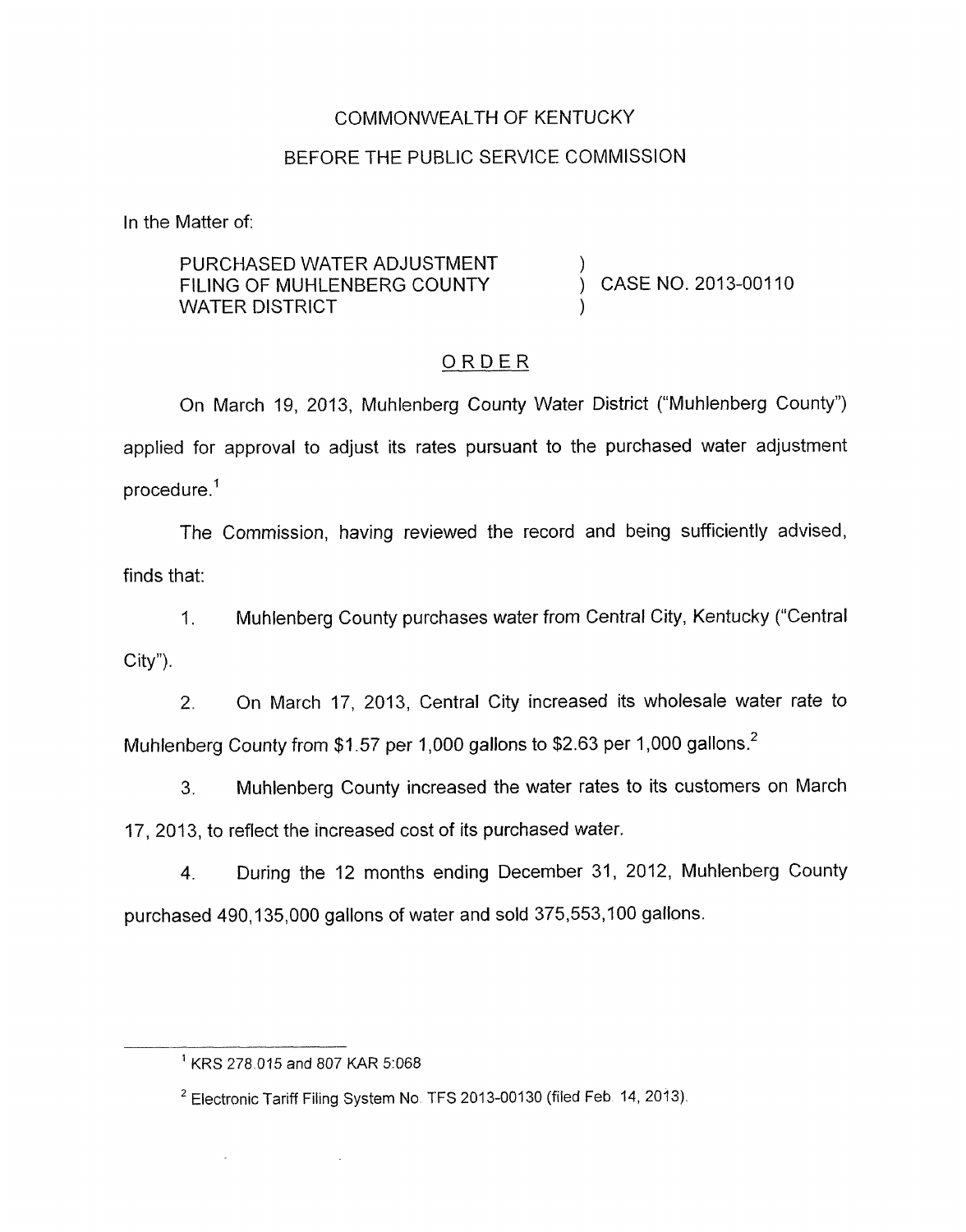## COMMONWEALTH OF KENTUCKY

### BEFORE THE PUBLIC SERVICE COMMISSION

In the Matter of:

PURCHASED WATER ADJUSTMENT FILING OF MUHLENBERG COUNTY (CASE NO. 2013-00110 WATER DISTRICT

## ORDER

On March 19, 2013, Muhlenberg County Water District ("Muhlenberg County") applied for approval to adjust its rates pursuant to the purchased water adjustment procedure. '

The Commission, having reviewed the record and being sufficiently advised, finds that:

1. Muhlenberg County purchases water from Central City, Kentucky ("Central City").

2. On March 17, 2013, Central City increased its wholesale water rate to Muhlenberg County from \$1.57 per 1,000 gallons to \$2.63 per 1,000 gallons. $^2$ 

**3.** Muhlenberg County increased the water rates to its customers on March 17, 2013, to reflect the increased cost of its purchased water.

4. During the 12 months ending December 31, 2012, Muhlenberg County purchased 490,135,000 gallons of water and sold 375,553,100 gallons.

 $\bar{\omega}$ 

 $\sim$ 

 $1$  KRS 278.015 and 807 KAR 5:068

<sup>&</sup>lt;sup>2</sup> Electronic Tariff Filing System No. TFS 2013-00130 (filed Feb. 14, 2013).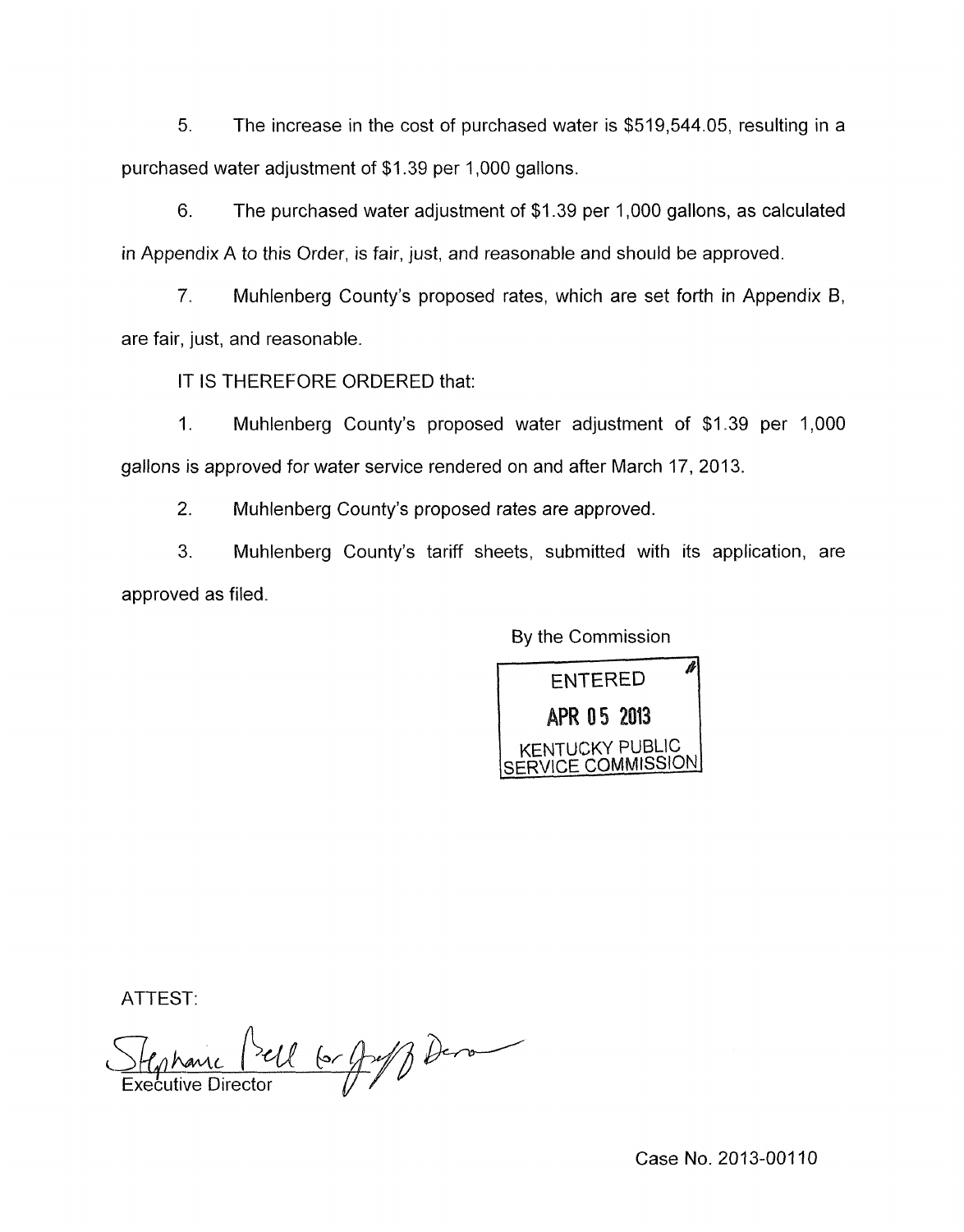*5.* The increase in the cost of purchased water is \$519,544.05, resulting in a purchased water adjustment of \$1.39 per 1,000 gallons.

6. The purchased water adjustment of \$1.39 per 1,000 gallons, as calculated in Appendix A to this Order, is fair, just, and reasonable and should be approved.

*7.* Muhlenberg County's proposed rates, which are set forth in Appendix 6, are fair, just, and reasonable.

IT IS THEREFORE ORDERED that:

1. Muhlenberg County's proposed water adjustment of \$1.39 per 1,000 gallons is approved for water service rendered on and after March 17, 2013.

2. Muhlenberg County's proposed rates are approved

3. Muhlenberg County's tariff sheets, submitted with its application, are approved as filed.

By the Commission



ATTEST:

Stephanie Piell 6 graf Dera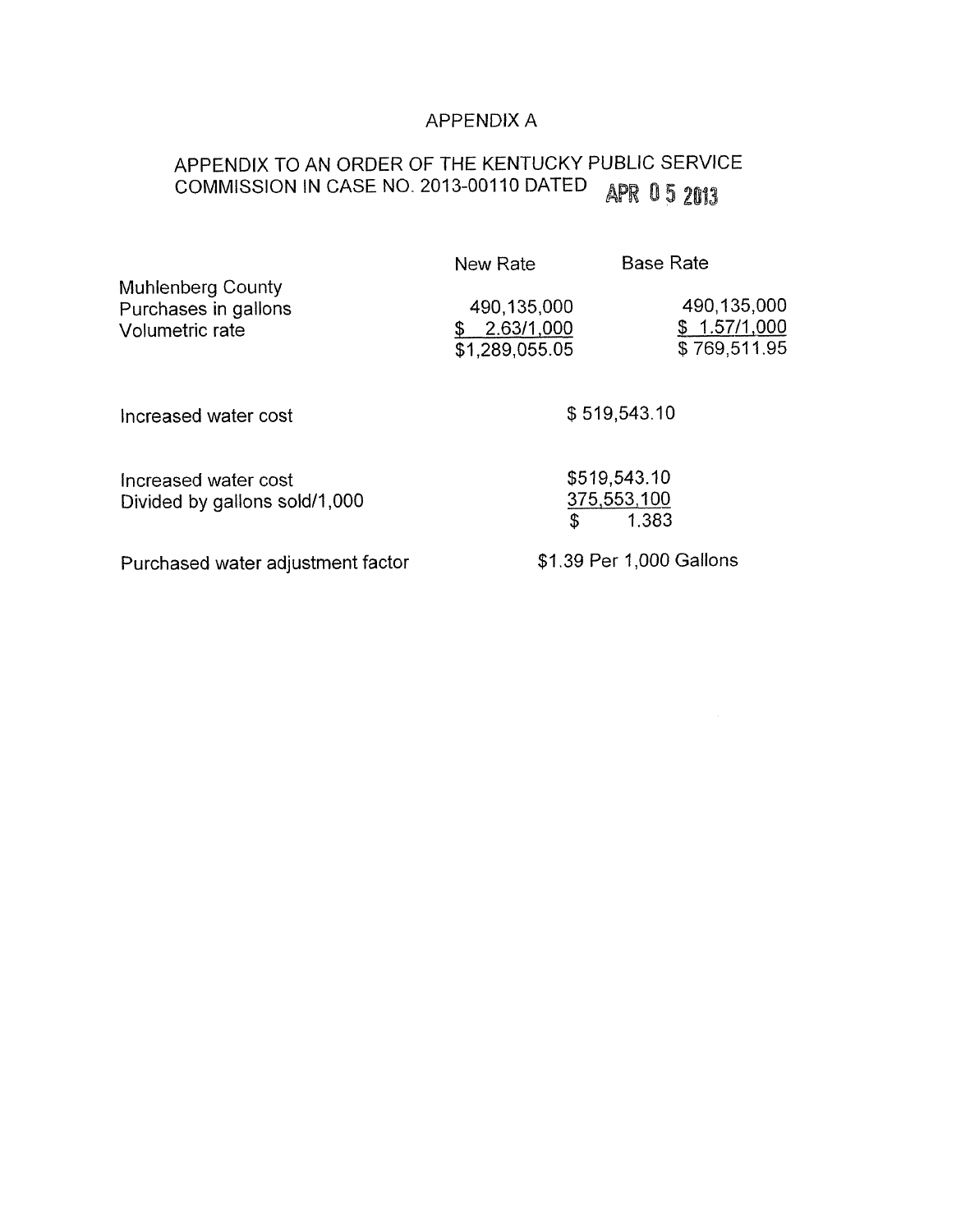## APPENDIX A

# APPENDIX TO AN ORDER OF THE KENTUCKY PUBLIC SERVICE<br>COMMISSION IN CASE NO. 2013-00110 DATED APR 0 5 2013 COMMISSION IN CASE NO. 2013-00110 DATED

|                                                                     | New Rate                                    | <b>Base Rate</b>                            |
|---------------------------------------------------------------------|---------------------------------------------|---------------------------------------------|
| <b>Muhlenberg County</b><br>Purchases in gallons<br>Volumetric rate | 490,135,000<br>2.63/1,000<br>\$1,289,055.05 | 490,135,000<br>\$1.57/1,000<br>\$769,511.95 |
| Increased water cost                                                |                                             | \$519,543.10                                |
| Increased water cost<br>Divided by gallons sold/1,000               | \$                                          | \$519,543.10<br>375,553,100<br>1.383        |
| Purchased water adjustment factor                                   |                                             | \$1.39 Per 1,000 Gallons                    |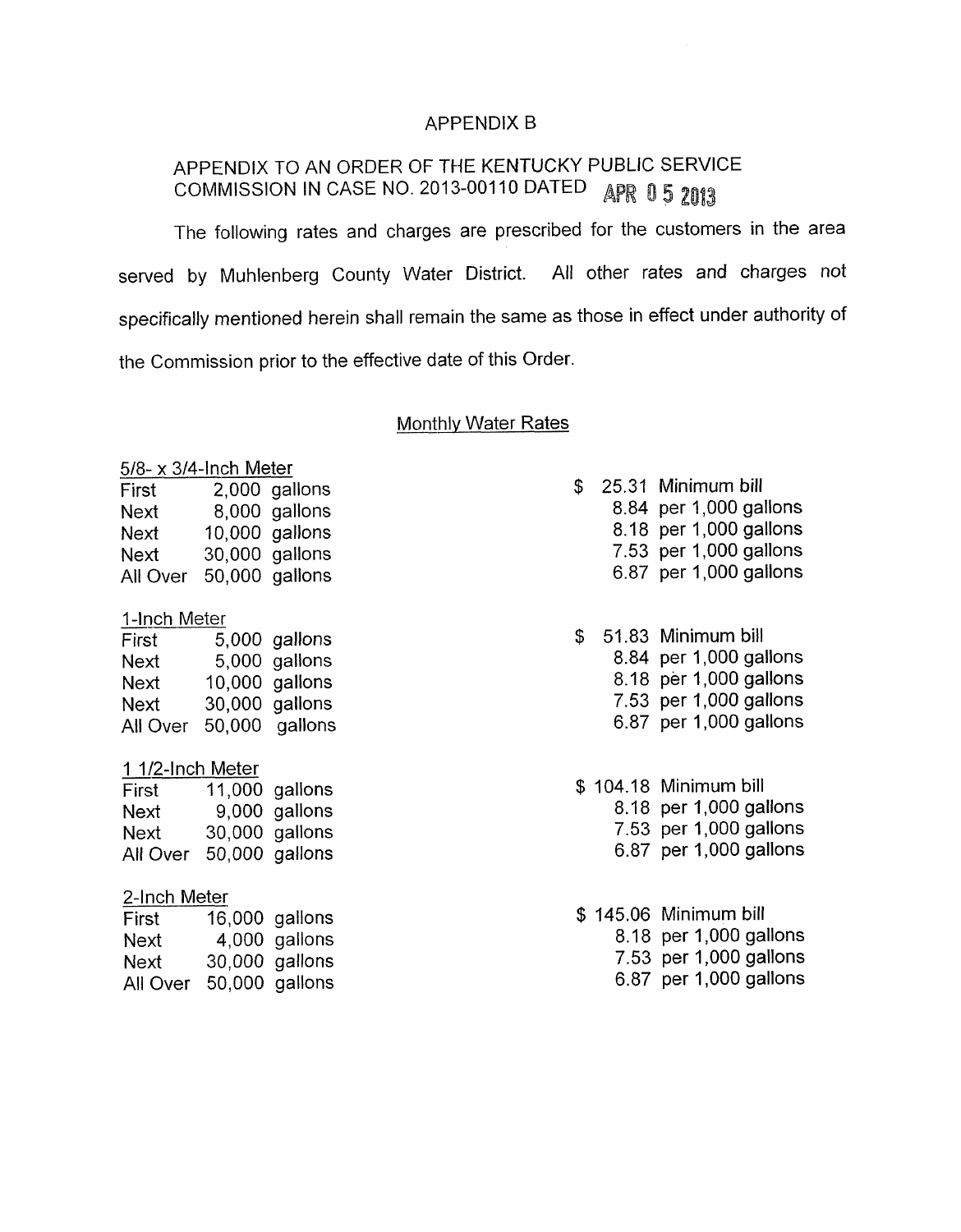#### APPENDIX B

## APPENDIX TO AN ORDER OF THE KENTUCKY PUBLIC SERVICE COMMISSION IN CASE NO. 2013-00110 DATED APR 0 5 2013

The following rates and charges are prescribed for the customers in the area served by Muhlenberg County Water District. All other rates and charges not specifically mentioned herein shall remain the same as those in effect under authority of the Commission prior to the effective date of this Order

#### Monthly Water Rates

#### 5/8- x 3/4-lnch Meter

| First    | 2,000 gallons  |
|----------|----------------|
| Next     | 8,000 gallons  |
| Next     | 10,000 gallons |
| Next     | 30,000 gallons |
| All Over | 50,000 gallons |

#### 1-Inch Meter

| First    | 5,000 gallons    |
|----------|------------------|
| Next     | 5,000 gallons    |
| Next     | $10,000$ gallons |
| Next     | 30,000 gallons   |
| All Over | 50,000 gallons   |

#### 1 1/2-lnch Meter

| First    | 11,000 gallons |
|----------|----------------|
| Next     | 9,000 gallons  |
| Next     | 30,000 gallons |
| All Over | 50,000 gallons |

#### 2-Inch Meter

| First    | 16,000 gallons |
|----------|----------------|
| Next     | 4,000 gallons  |
| Next     | 30,000 gallons |
| All Over | 50,000 gallons |

|  | \$ 25.31 Minimum bill |  |
|--|-----------------------|--|
|  |                       |  |

- 8.84 per 1,000 gallons
- 8.18 per 1,000 gallons
- 7.53 per 1,000 gallons
- 6.87 per 1,000 gallons

## \$ 51.83 Minimum bill

- 8.84 per 1,000 gallons
- 8.18 per 1,000 gallons
- 7.53 per 1,000 gallons
- 6.87 per 1,000 gallons
- \$ 104.18 Minimum bill
	- 8.18 per 1,000 gallons
	- 7.53 per 1,000 gallons 6.87 per 1,000 gallons
	-

\$ 145.06 Minimum bill 8.18 per 1,000 gallons 7.53 per 1,000 gallons 6.87 per 1,000 gallons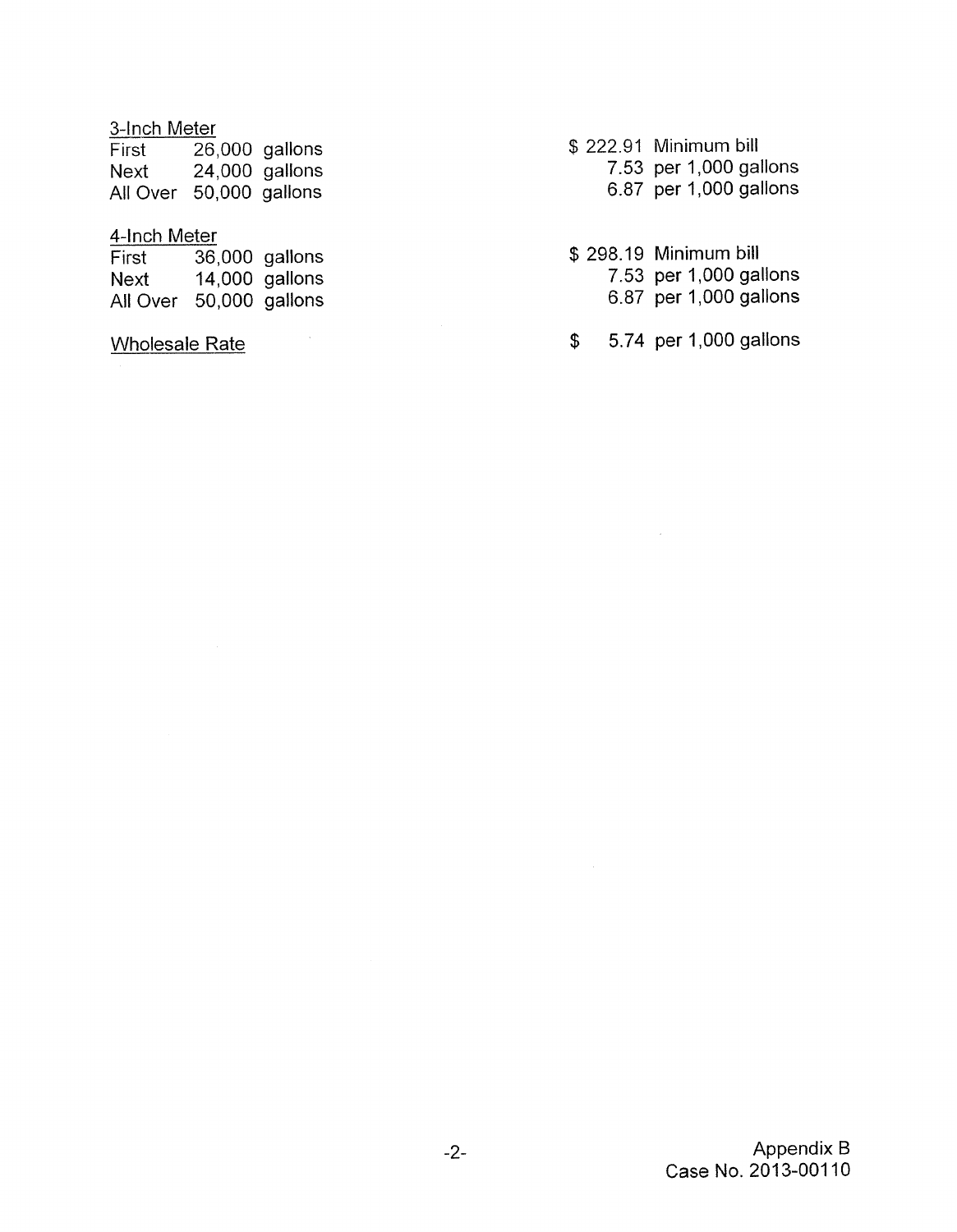## 3-Inch Meter

| First                   | 26,000 gallons |
|-------------------------|----------------|
| Next                    | 24,000 gallons |
| All Over 50,000 gallons |                |

## 4-Inch Meter

| First    | 36,000 gallons |
|----------|----------------|
| Next     | 14,000 gallons |
| All Over | 50,000 gallons |

Wholesale Rate

\$ 222.91 Minimum bill 7.53 per 1,000 gallons 6.87 per 1,000 gallons

\$ 298.19 Minimum bill 7.53 per 1,000 gallons 6.87 per 1,000 gallons

\$ 5.74 per 1,000 gallons